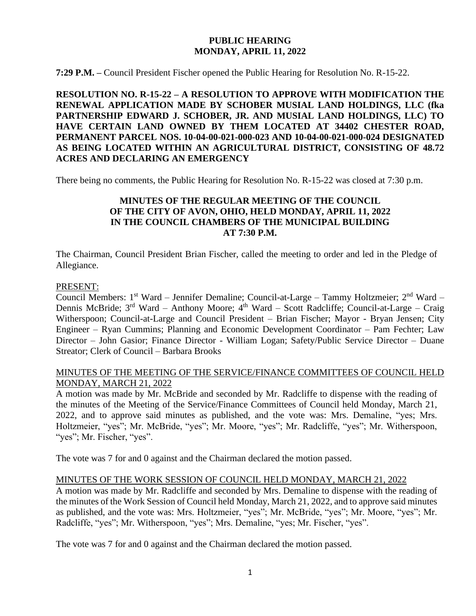## **PUBLIC HEARING MONDAY, APRIL 11, 2022**

**7:29 P.M. –** Council President Fischer opened the Public Hearing for Resolution No. R-15-22.

**RESOLUTION NO. R-15-22 – A RESOLUTION TO APPROVE WITH MODIFICATION THE RENEWAL APPLICATION MADE BY SCHOBER MUSIAL LAND HOLDINGS, LLC (fka PARTNERSHIP EDWARD J. SCHOBER, JR. AND MUSIAL LAND HOLDINGS, LLC) TO HAVE CERTAIN LAND OWNED BY THEM LOCATED AT 34402 CHESTER ROAD, PERMANENT PARCEL NOS. 10-04-00-021-000-023 AND 10-04-00-021-000-024 DESIGNATED AS BEING LOCATED WITHIN AN AGRICULTURAL DISTRICT, CONSISTING OF 48.72 ACRES AND DECLARING AN EMERGENCY**

There being no comments, the Public Hearing for Resolution No. R-15-22 was closed at 7:30 p.m.

# **MINUTES OF THE REGULAR MEETING OF THE COUNCIL OF THE CITY OF AVON, OHIO, HELD MONDAY, APRIL 11, 2022 IN THE COUNCIL CHAMBERS OF THE MUNICIPAL BUILDING AT 7:30 P.M.**

The Chairman, Council President Brian Fischer, called the meeting to order and led in the Pledge of Allegiance.

#### PRESENT:

Council Members: 1<sup>st</sup> Ward – Jennifer Demaline; Council-at-Large – Tammy Holtzmeier; 2<sup>nd</sup> Ward – Dennis McBride; 3<sup>rd</sup> Ward – Anthony Moore; 4<sup>th</sup> Ward – Scott Radcliffe; Council-at-Large – Craig Witherspoon; Council-at-Large and Council President – Brian Fischer; Mayor - Bryan Jensen; City Engineer – Ryan Cummins; Planning and Economic Development Coordinator – Pam Fechter; Law Director – John Gasior; Finance Director - William Logan; Safety/Public Service Director – Duane Streator; Clerk of Council – Barbara Brooks

## MINUTES OF THE MEETING OF THE SERVICE/FINANCE COMMITTEES OF COUNCIL HELD MONDAY, MARCH 21, 2022

A motion was made by Mr. McBride and seconded by Mr. Radcliffe to dispense with the reading of the minutes of the Meeting of the Service/Finance Committees of Council held Monday, March 21, 2022, and to approve said minutes as published, and the vote was: Mrs. Demaline, "yes; Mrs. Holtzmeier, "yes"; Mr. McBride, "yes"; Mr. Moore, "yes"; Mr. Radcliffe, "yes"; Mr. Witherspoon, "yes"; Mr. Fischer, "yes".

The vote was 7 for and 0 against and the Chairman declared the motion passed.

#### MINUTES OF THE WORK SESSION OF COUNCIL HELD MONDAY, MARCH 21, 2022

A motion was made by Mr. Radcliffe and seconded by Mrs. Demaline to dispense with the reading of the minutes of the Work Session of Council held Monday, March 21, 2022, and to approve said minutes as published, and the vote was: Mrs. Holtzmeier, "yes"; Mr. McBride, "yes"; Mr. Moore, "yes"; Mr. Radcliffe, "yes"; Mr. Witherspoon, "yes"; Mrs. Demaline, "yes; Mr. Fischer, "yes".

The vote was 7 for and 0 against and the Chairman declared the motion passed.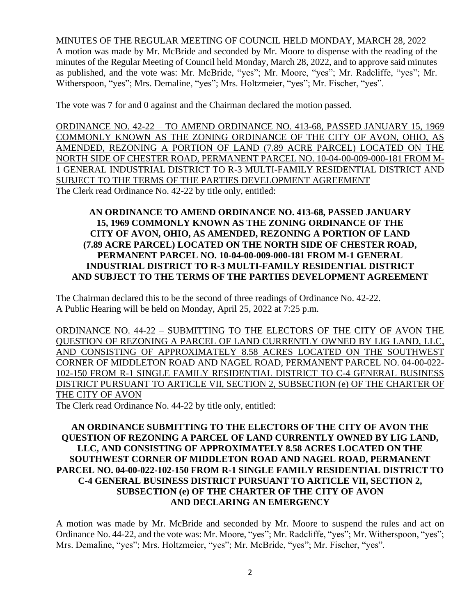#### MINUTES OF THE REGULAR MEETING OF COUNCIL HELD MONDAY, MARCH 28, 2022

A motion was made by Mr. McBride and seconded by Mr. Moore to dispense with the reading of the minutes of the Regular Meeting of Council held Monday, March 28, 2022, and to approve said minutes as published, and the vote was: Mr. McBride, "yes"; Mr. Moore, "yes"; Mr. Radcliffe, "yes"; Mr. Witherspoon, "yes"; Mrs. Demaline, "yes"; Mrs. Holtzmeier, "yes"; Mr. Fischer, "yes".

The vote was 7 for and 0 against and the Chairman declared the motion passed.

ORDINANCE NO. 42-22 – TO AMEND ORDINANCE NO. 413-68, PASSED JANUARY 15, 1969 COMMONLY KNOWN AS THE ZONING ORDINANCE OF THE CITY OF AVON, OHIO, AS AMENDED, REZONING A PORTION OF LAND (7.89 ACRE PARCEL) LOCATED ON THE NORTH SIDE OF CHESTER ROAD, PERMANENT PARCEL NO. 10-04-00-009-000-181 FROM M-1 GENERAL INDUSTRIAL DISTRICT TO R-3 MULTI-FAMILY RESIDENTIAL DISTRICT AND SUBJECT TO THE TERMS OF THE PARTIES DEVELOPMENT AGREEMENT The Clerk read Ordinance No. 42-22 by title only, entitled:

## **AN ORDINANCE TO AMEND ORDINANCE NO. 413-68, PASSED JANUARY 15, 1969 COMMONLY KNOWN AS THE ZONING ORDINANCE OF THE CITY OF AVON, OHIO, AS AMENDED, REZONING A PORTION OF LAND (7.89 ACRE PARCEL) LOCATED ON THE NORTH SIDE OF CHESTER ROAD, PERMANENT PARCEL NO. 10-04-00-009-000-181 FROM M-1 GENERAL INDUSTRIAL DISTRICT TO R-3 MULTI-FAMILY RESIDENTIAL DISTRICT AND SUBJECT TO THE TERMS OF THE PARTIES DEVELOPMENT AGREEMENT**

The Chairman declared this to be the second of three readings of Ordinance No. 42-22. A Public Hearing will be held on Monday, April 25, 2022 at 7:25 p.m.

ORDINANCE NO. 44-22 – SUBMITTING TO THE ELECTORS OF THE CITY OF AVON THE QUESTION OF REZONING A PARCEL OF LAND CURRENTLY OWNED BY LIG LAND, LLC, AND CONSISTING OF APPROXIMATELY 8.58 ACRES LOCATED ON THE SOUTHWEST CORNER OF MIDDLETON ROAD AND NAGEL ROAD, PERMANENT PARCEL NO. 04-00-022- 102-150 FROM R-1 SINGLE FAMILY RESIDENTIAL DISTRICT TO C-4 GENERAL BUSINESS DISTRICT PURSUANT TO ARTICLE VII, SECTION 2, SUBSECTION (e) OF THE CHARTER OF THE CITY OF AVON

The Clerk read Ordinance No. 44-22 by title only, entitled:

## **AN ORDINANCE SUBMITTING TO THE ELECTORS OF THE CITY OF AVON THE QUESTION OF REZONING A PARCEL OF LAND CURRENTLY OWNED BY LIG LAND, LLC, AND CONSISTING OF APPROXIMATELY 8.58 ACRES LOCATED ON THE SOUTHWEST CORNER OF MIDDLETON ROAD AND NAGEL ROAD, PERMANENT PARCEL NO. 04-00-022-102-150 FROM R-1 SINGLE FAMILY RESIDENTIAL DISTRICT TO C-4 GENERAL BUSINESS DISTRICT PURSUANT TO ARTICLE VII, SECTION 2, SUBSECTION (e) OF THE CHARTER OF THE CITY OF AVON AND DECLARING AN EMERGENCY**

A motion was made by Mr. McBride and seconded by Mr. Moore to suspend the rules and act on Ordinance No. 44-22, and the vote was: Mr. Moore, "yes"; Mr. Radcliffe, "yes"; Mr. Witherspoon, "yes"; Mrs. Demaline, "yes"; Mrs. Holtzmeier, "yes"; Mr. McBride, "yes"; Mr. Fischer, "yes".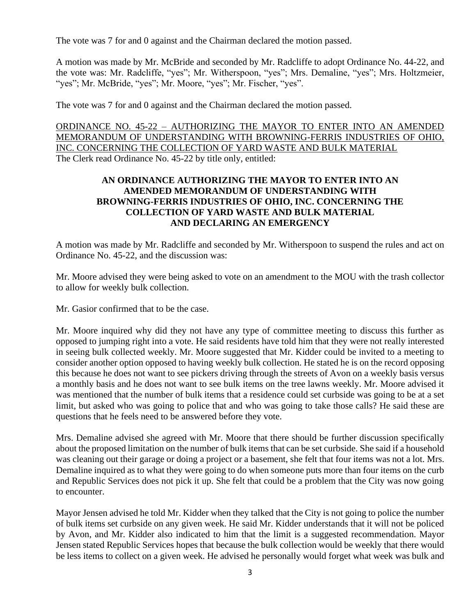The vote was 7 for and 0 against and the Chairman declared the motion passed.

A motion was made by Mr. McBride and seconded by Mr. Radcliffe to adopt Ordinance No. 44-22, and the vote was: Mr. Radcliffe, "yes"; Mr. Witherspoon, "yes"; Mrs. Demaline, "yes"; Mrs. Holtzmeier, "yes"; Mr. McBride, "yes"; Mr. Moore, "yes"; Mr. Fischer, "yes".

The vote was 7 for and 0 against and the Chairman declared the motion passed.

ORDINANCE NO. 45-22 – AUTHORIZING THE MAYOR TO ENTER INTO AN AMENDED MEMORANDUM OF UNDERSTANDING WITH BROWNING-FERRIS INDUSTRIES OF OHIO, INC. CONCERNING THE COLLECTION OF YARD WASTE AND BULK MATERIAL The Clerk read Ordinance No. 45-22 by title only, entitled:

# **AN ORDINANCE AUTHORIZING THE MAYOR TO ENTER INTO AN AMENDED MEMORANDUM OF UNDERSTANDING WITH BROWNING-FERRIS INDUSTRIES OF OHIO, INC. CONCERNING THE COLLECTION OF YARD WASTE AND BULK MATERIAL AND DECLARING AN EMERGENCY**

A motion was made by Mr. Radcliffe and seconded by Mr. Witherspoon to suspend the rules and act on Ordinance No. 45-22, and the discussion was:

Mr. Moore advised they were being asked to vote on an amendment to the MOU with the trash collector to allow for weekly bulk collection.

Mr. Gasior confirmed that to be the case.

Mr. Moore inquired why did they not have any type of committee meeting to discuss this further as opposed to jumping right into a vote. He said residents have told him that they were not really interested in seeing bulk collected weekly. Mr. Moore suggested that Mr. Kidder could be invited to a meeting to consider another option opposed to having weekly bulk collection. He stated he is on the record opposing this because he does not want to see pickers driving through the streets of Avon on a weekly basis versus a monthly basis and he does not want to see bulk items on the tree lawns weekly. Mr. Moore advised it was mentioned that the number of bulk items that a residence could set curbside was going to be at a set limit, but asked who was going to police that and who was going to take those calls? He said these are questions that he feels need to be answered before they vote.

Mrs. Demaline advised she agreed with Mr. Moore that there should be further discussion specifically about the proposed limitation on the number of bulk items that can be set curbside. She said if a household was cleaning out their garage or doing a project or a basement, she felt that four items was not a lot. Mrs. Demaline inquired as to what they were going to do when someone puts more than four items on the curb and Republic Services does not pick it up. She felt that could be a problem that the City was now going to encounter.

Mayor Jensen advised he told Mr. Kidder when they talked that the City is not going to police the number of bulk items set curbside on any given week. He said Mr. Kidder understands that it will not be policed by Avon, and Mr. Kidder also indicated to him that the limit is a suggested recommendation. Mayor Jensen stated Republic Services hopes that because the bulk collection would be weekly that there would be less items to collect on a given week. He advised he personally would forget what week was bulk and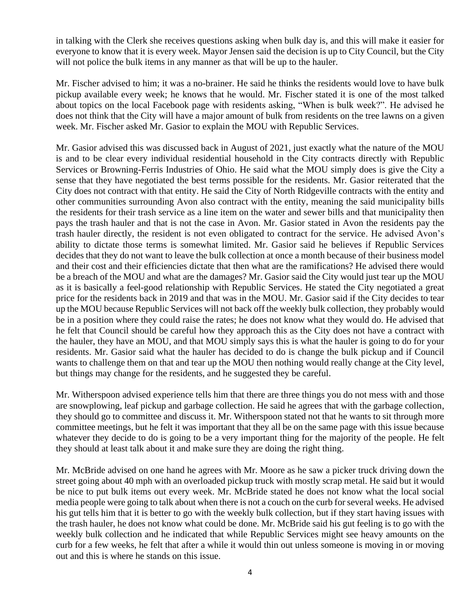in talking with the Clerk she receives questions asking when bulk day is, and this will make it easier for everyone to know that it is every week. Mayor Jensen said the decision is up to City Council, but the City will not police the bulk items in any manner as that will be up to the hauler.

Mr. Fischer advised to him; it was a no-brainer. He said he thinks the residents would love to have bulk pickup available every week; he knows that he would. Mr. Fischer stated it is one of the most talked about topics on the local Facebook page with residents asking, "When is bulk week?". He advised he does not think that the City will have a major amount of bulk from residents on the tree lawns on a given week. Mr. Fischer asked Mr. Gasior to explain the MOU with Republic Services.

Mr. Gasior advised this was discussed back in August of 2021, just exactly what the nature of the MOU is and to be clear every individual residential household in the City contracts directly with Republic Services or Browning-Ferris Industries of Ohio. He said what the MOU simply does is give the City a sense that they have negotiated the best terms possible for the residents. Mr. Gasior reiterated that the City does not contract with that entity. He said the City of North Ridgeville contracts with the entity and other communities surrounding Avon also contract with the entity, meaning the said municipality bills the residents for their trash service as a line item on the water and sewer bills and that municipality then pays the trash hauler and that is not the case in Avon. Mr. Gasior stated in Avon the residents pay the trash hauler directly, the resident is not even obligated to contract for the service. He advised Avon's ability to dictate those terms is somewhat limited. Mr. Gasior said he believes if Republic Services decides that they do not want to leave the bulk collection at once a month because of their business model and their cost and their efficiencies dictate that then what are the ramifications? He advised there would be a breach of the MOU and what are the damages? Mr. Gasior said the City would just tear up the MOU as it is basically a feel-good relationship with Republic Services. He stated the City negotiated a great price for the residents back in 2019 and that was in the MOU. Mr. Gasior said if the City decides to tear up the MOU because Republic Services will not back off the weekly bulk collection, they probably would be in a position where they could raise the rates; he does not know what they would do. He advised that he felt that Council should be careful how they approach this as the City does not have a contract with the hauler, they have an MOU, and that MOU simply says this is what the hauler is going to do for your residents. Mr. Gasior said what the hauler has decided to do is change the bulk pickup and if Council wants to challenge them on that and tear up the MOU then nothing would really change at the City level, but things may change for the residents, and he suggested they be careful.

Mr. Witherspoon advised experience tells him that there are three things you do not mess with and those are snowplowing, leaf pickup and garbage collection. He said he agrees that with the garbage collection, they should go to committee and discuss it. Mr. Witherspoon stated not that he wants to sit through more committee meetings, but he felt it was important that they all be on the same page with this issue because whatever they decide to do is going to be a very important thing for the majority of the people. He felt they should at least talk about it and make sure they are doing the right thing.

Mr. McBride advised on one hand he agrees with Mr. Moore as he saw a picker truck driving down the street going about 40 mph with an overloaded pickup truck with mostly scrap metal. He said but it would be nice to put bulk items out every week. Mr. McBride stated he does not know what the local social media people were going to talk about when there is not a couch on the curb for several weeks. He advised his gut tells him that it is better to go with the weekly bulk collection, but if they start having issues with the trash hauler, he does not know what could be done. Mr. McBride said his gut feeling is to go with the weekly bulk collection and he indicated that while Republic Services might see heavy amounts on the curb for a few weeks, he felt that after a while it would thin out unless someone is moving in or moving out and this is where he stands on this issue.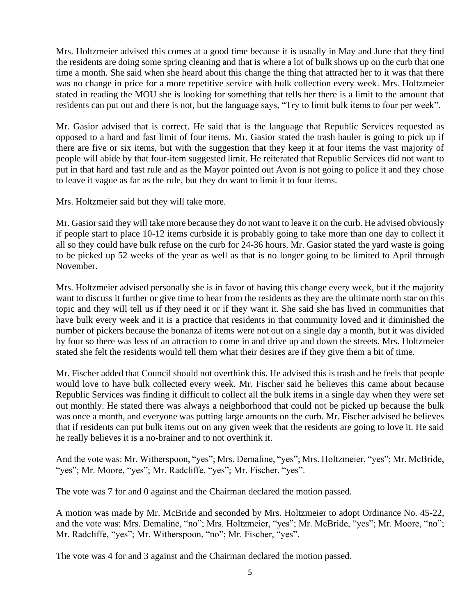Mrs. Holtzmeier advised this comes at a good time because it is usually in May and June that they find the residents are doing some spring cleaning and that is where a lot of bulk shows up on the curb that one time a month. She said when she heard about this change the thing that attracted her to it was that there was no change in price for a more repetitive service with bulk collection every week. Mrs. Holtzmeier stated in reading the MOU she is looking for something that tells her there is a limit to the amount that residents can put out and there is not, but the language says, "Try to limit bulk items to four per week".

Mr. Gasior advised that is correct. He said that is the language that Republic Services requested as opposed to a hard and fast limit of four items. Mr. Gasior stated the trash hauler is going to pick up if there are five or six items, but with the suggestion that they keep it at four items the vast majority of people will abide by that four-item suggested limit. He reiterated that Republic Services did not want to put in that hard and fast rule and as the Mayor pointed out Avon is not going to police it and they chose to leave it vague as far as the rule, but they do want to limit it to four items.

Mrs. Holtzmeier said but they will take more.

Mr. Gasior said they will take more because they do not want to leave it on the curb. He advised obviously if people start to place 10-12 items curbside it is probably going to take more than one day to collect it all so they could have bulk refuse on the curb for 24-36 hours. Mr. Gasior stated the yard waste is going to be picked up 52 weeks of the year as well as that is no longer going to be limited to April through November.

Mrs. Holtzmeier advised personally she is in favor of having this change every week, but if the majority want to discuss it further or give time to hear from the residents as they are the ultimate north star on this topic and they will tell us if they need it or if they want it. She said she has lived in communities that have bulk every week and it is a practice that residents in that community loved and it diminished the number of pickers because the bonanza of items were not out on a single day a month, but it was divided by four so there was less of an attraction to come in and drive up and down the streets. Mrs. Holtzmeier stated she felt the residents would tell them what their desires are if they give them a bit of time.

Mr. Fischer added that Council should not overthink this. He advised this is trash and he feels that people would love to have bulk collected every week. Mr. Fischer said he believes this came about because Republic Services was finding it difficult to collect all the bulk items in a single day when they were set out monthly. He stated there was always a neighborhood that could not be picked up because the bulk was once a month, and everyone was putting large amounts on the curb. Mr. Fischer advised he believes that if residents can put bulk items out on any given week that the residents are going to love it. He said he really believes it is a no-brainer and to not overthink it.

And the vote was: Mr. Witherspoon, "yes"; Mrs. Demaline, "yes"; Mrs. Holtzmeier, "yes"; Mr. McBride, "yes"; Mr. Moore, "yes"; Mr. Radcliffe, "yes"; Mr. Fischer, "yes".

The vote was 7 for and 0 against and the Chairman declared the motion passed.

A motion was made by Mr. McBride and seconded by Mrs. Holtzmeier to adopt Ordinance No. 45-22, and the vote was: Mrs. Demaline, "no"; Mrs. Holtzmeier, "yes"; Mr. McBride, "yes"; Mr. Moore, "no"; Mr. Radcliffe, "yes"; Mr. Witherspoon, "no"; Mr. Fischer, "yes".

The vote was 4 for and 3 against and the Chairman declared the motion passed.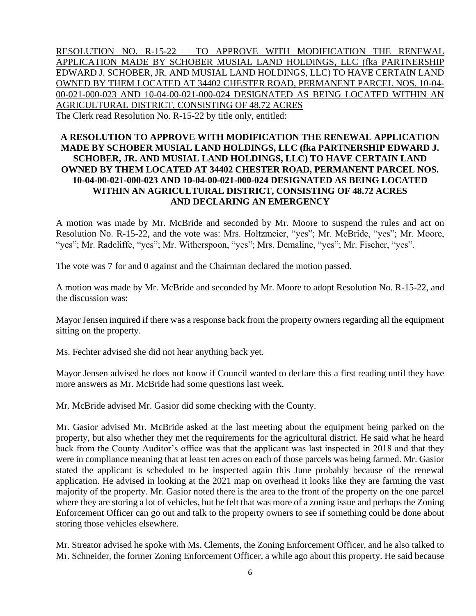RESOLUTION NO. R-15-22 – TO APPROVE WITH MODIFICATION THE RENEWAL APPLICATION MADE BY SCHOBER MUSIAL LAND HOLDINGS, LLC (fka PARTNERSHIP EDWARD J. SCHOBER, JR. AND MUSIAL LAND HOLDINGS, LLC) TO HAVE CERTAIN LAND OWNED BY THEM LOCATED AT 34402 CHESTER ROAD, PERMANENT PARCEL NOS. 10-04- 00-021-000-023 AND 10-04-00-021-000-024 DESIGNATED AS BEING LOCATED WITHIN AN AGRICULTURAL DISTRICT, CONSISTING OF 48.72 ACRES The Clerk read Resolution No. R-15-22 by title only, entitled:

## **A RESOLUTION TO APPROVE WITH MODIFICATION THE RENEWAL APPLICATION MADE BY SCHOBER MUSIAL LAND HOLDINGS, LLC (fka PARTNERSHIP EDWARD J. SCHOBER, JR. AND MUSIAL LAND HOLDINGS, LLC) TO HAVE CERTAIN LAND OWNED BY THEM LOCATED AT 34402 CHESTER ROAD, PERMANENT PARCEL NOS. 10-04-00-021-000-023 AND 10-04-00-021-000-024 DESIGNATED AS BEING LOCATED WITHIN AN AGRICULTURAL DISTRICT, CONSISTING OF 48.72 ACRES AND DECLARING AN EMERGENCY**

A motion was made by Mr. McBride and seconded by Mr. Moore to suspend the rules and act on Resolution No. R-15-22, and the vote was: Mrs. Holtzmeier, "yes"; Mr. McBride, "yes"; Mr. Moore, "yes"; Mr. Radcliffe, "yes"; Mr. Witherspoon, "yes"; Mrs. Demaline, "yes"; Mr. Fischer, "yes".

The vote was 7 for and 0 against and the Chairman declared the motion passed.

A motion was made by Mr. McBride and seconded by Mr. Moore to adopt Resolution No. R-15-22, and the discussion was:

Mayor Jensen inquired if there was a response back from the property owners regarding all the equipment sitting on the property.

Ms. Fechter advised she did not hear anything back yet.

Mayor Jensen advised he does not know if Council wanted to declare this a first reading until they have more answers as Mr. McBride had some questions last week.

Mr. McBride advised Mr. Gasior did some checking with the County.

Mr. Gasior advised Mr. McBride asked at the last meeting about the equipment being parked on the property, but also whether they met the requirements for the agricultural district. He said what he heard back from the County Auditor's office was that the applicant was last inspected in 2018 and that they were in compliance meaning that at least ten acres on each of those parcels was being farmed. Mr. Gasior stated the applicant is scheduled to be inspected again this June probably because of the renewal application. He advised in looking at the 2021 map on overhead it looks like they are farming the vast majority of the property. Mr. Gasior noted there is the area to the front of the property on the one parcel where they are storing a lot of vehicles, but he felt that was more of a zoning issue and perhaps the Zoning Enforcement Officer can go out and talk to the property owners to see if something could be done about storing those vehicles elsewhere.

Mr. Streator advised he spoke with Ms. Clements, the Zoning Enforcement Officer, and he also talked to Mr. Schneider, the former Zoning Enforcement Officer, a while ago about this property. He said because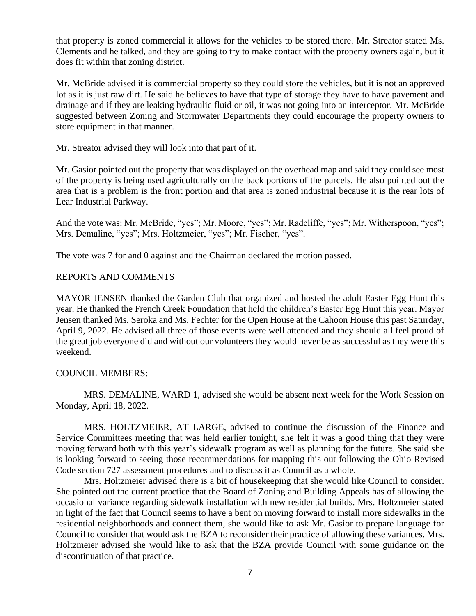that property is zoned commercial it allows for the vehicles to be stored there. Mr. Streator stated Ms. Clements and he talked, and they are going to try to make contact with the property owners again, but it does fit within that zoning district.

Mr. McBride advised it is commercial property so they could store the vehicles, but it is not an approved lot as it is just raw dirt. He said he believes to have that type of storage they have to have pavement and drainage and if they are leaking hydraulic fluid or oil, it was not going into an interceptor. Mr. McBride suggested between Zoning and Stormwater Departments they could encourage the property owners to store equipment in that manner.

Mr. Streator advised they will look into that part of it.

Mr. Gasior pointed out the property that was displayed on the overhead map and said they could see most of the property is being used agriculturally on the back portions of the parcels. He also pointed out the area that is a problem is the front portion and that area is zoned industrial because it is the rear lots of Lear Industrial Parkway.

And the vote was: Mr. McBride, "yes"; Mr. Moore, "yes"; Mr. Radcliffe, "yes"; Mr. Witherspoon, "yes"; Mrs. Demaline, "yes"; Mrs. Holtzmeier, "yes"; Mr. Fischer, "yes".

The vote was 7 for and 0 against and the Chairman declared the motion passed.

#### REPORTS AND COMMENTS

MAYOR JENSEN thanked the Garden Club that organized and hosted the adult Easter Egg Hunt this year. He thanked the French Creek Foundation that held the children's Easter Egg Hunt this year. Mayor Jensen thanked Ms. Seroka and Ms. Fechter for the Open House at the Cahoon House this past Saturday, April 9, 2022. He advised all three of those events were well attended and they should all feel proud of the great job everyone did and without our volunteers they would never be as successful as they were this weekend.

## COUNCIL MEMBERS:

MRS. DEMALINE, WARD 1, advised she would be absent next week for the Work Session on Monday, April 18, 2022.

MRS. HOLTZMEIER, AT LARGE, advised to continue the discussion of the Finance and Service Committees meeting that was held earlier tonight, she felt it was a good thing that they were moving forward both with this year's sidewalk program as well as planning for the future. She said she is looking forward to seeing those recommendations for mapping this out following the Ohio Revised Code section 727 assessment procedures and to discuss it as Council as a whole.

Mrs. Holtzmeier advised there is a bit of housekeeping that she would like Council to consider. She pointed out the current practice that the Board of Zoning and Building Appeals has of allowing the occasional variance regarding sidewalk installation with new residential builds. Mrs. Holtzmeier stated in light of the fact that Council seems to have a bent on moving forward to install more sidewalks in the residential neighborhoods and connect them, she would like to ask Mr. Gasior to prepare language for Council to consider that would ask the BZA to reconsider their practice of allowing these variances. Mrs. Holtzmeier advised she would like to ask that the BZA provide Council with some guidance on the discontinuation of that practice.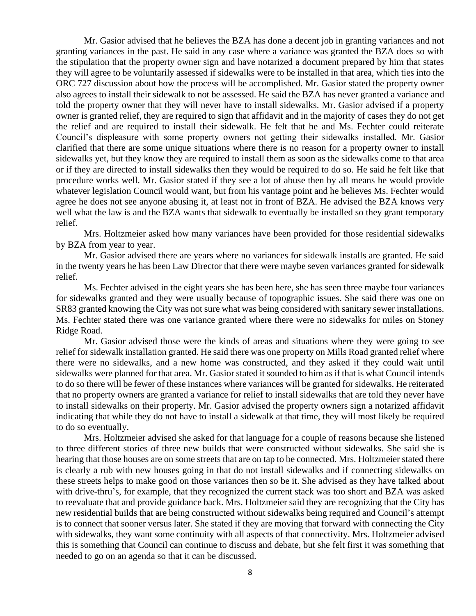Mr. Gasior advised that he believes the BZA has done a decent job in granting variances and not granting variances in the past. He said in any case where a variance was granted the BZA does so with the stipulation that the property owner sign and have notarized a document prepared by him that states they will agree to be voluntarily assessed if sidewalks were to be installed in that area, which ties into the ORC 727 discussion about how the process will be accomplished. Mr. Gasior stated the property owner also agrees to install their sidewalk to not be assessed. He said the BZA has never granted a variance and told the property owner that they will never have to install sidewalks. Mr. Gasior advised if a property owner is granted relief, they are required to sign that affidavit and in the majority of cases they do not get the relief and are required to install their sidewalk. He felt that he and Ms. Fechter could reiterate Council's displeasure with some property owners not getting their sidewalks installed. Mr. Gasior clarified that there are some unique situations where there is no reason for a property owner to install sidewalks yet, but they know they are required to install them as soon as the sidewalks come to that area or if they are directed to install sidewalks then they would be required to do so. He said he felt like that procedure works well. Mr. Gasior stated if they see a lot of abuse then by all means he would provide whatever legislation Council would want, but from his vantage point and he believes Ms. Fechter would agree he does not see anyone abusing it, at least not in front of BZA. He advised the BZA knows very well what the law is and the BZA wants that sidewalk to eventually be installed so they grant temporary relief.

Mrs. Holtzmeier asked how many variances have been provided for those residential sidewalks by BZA from year to year.

Mr. Gasior advised there are years where no variances for sidewalk installs are granted. He said in the twenty years he has been Law Director that there were maybe seven variances granted for sidewalk relief.

Ms. Fechter advised in the eight years she has been here, she has seen three maybe four variances for sidewalks granted and they were usually because of topographic issues. She said there was one on SR83 granted knowing the City was not sure what was being considered with sanitary sewer installations. Ms. Fechter stated there was one variance granted where there were no sidewalks for miles on Stoney Ridge Road.

Mr. Gasior advised those were the kinds of areas and situations where they were going to see relief for sidewalk installation granted. He said there was one property on Mills Road granted relief where there were no sidewalks, and a new home was constructed, and they asked if they could wait until sidewalks were planned for that area. Mr. Gasior stated it sounded to him as if that is what Council intends to do so there will be fewer of these instances where variances will be granted for sidewalks. He reiterated that no property owners are granted a variance for relief to install sidewalks that are told they never have to install sidewalks on their property. Mr. Gasior advised the property owners sign a notarized affidavit indicating that while they do not have to install a sidewalk at that time, they will most likely be required to do so eventually.

Mrs. Holtzmeier advised she asked for that language for a couple of reasons because she listened to three different stories of three new builds that were constructed without sidewalks. She said she is hearing that those houses are on some streets that are on tap to be connected. Mrs. Holtzmeier stated there is clearly a rub with new houses going in that do not install sidewalks and if connecting sidewalks on these streets helps to make good on those variances then so be it. She advised as they have talked about with drive-thru's, for example, that they recognized the current stack was too short and BZA was asked to reevaluate that and provide guidance back. Mrs. Holtzmeier said they are recognizing that the City has new residential builds that are being constructed without sidewalks being required and Council's attempt is to connect that sooner versus later. She stated if they are moving that forward with connecting the City with sidewalks, they want some continuity with all aspects of that connectivity. Mrs. Holtzmeier advised this is something that Council can continue to discuss and debate, but she felt first it was something that needed to go on an agenda so that it can be discussed.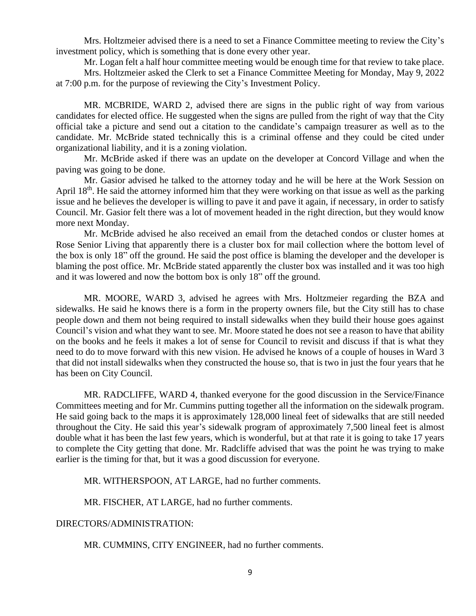Mrs. Holtzmeier advised there is a need to set a Finance Committee meeting to review the City's investment policy, which is something that is done every other year.

Mr. Logan felt a half hour committee meeting would be enough time for that review to take place.

Mrs. Holtzmeier asked the Clerk to set a Finance Committee Meeting for Monday, May 9, 2022 at 7:00 p.m. for the purpose of reviewing the City's Investment Policy.

MR. MCBRIDE, WARD 2, advised there are signs in the public right of way from various candidates for elected office. He suggested when the signs are pulled from the right of way that the City official take a picture and send out a citation to the candidate's campaign treasurer as well as to the candidate. Mr. McBride stated technically this is a criminal offense and they could be cited under organizational liability, and it is a zoning violation.

Mr. McBride asked if there was an update on the developer at Concord Village and when the paving was going to be done.

Mr. Gasior advised he talked to the attorney today and he will be here at the Work Session on April 18<sup>th</sup>. He said the attorney informed him that they were working on that issue as well as the parking issue and he believes the developer is willing to pave it and pave it again, if necessary, in order to satisfy Council. Mr. Gasior felt there was a lot of movement headed in the right direction, but they would know more next Monday.

Mr. McBride advised he also received an email from the detached condos or cluster homes at Rose Senior Living that apparently there is a cluster box for mail collection where the bottom level of the box is only 18" off the ground. He said the post office is blaming the developer and the developer is blaming the post office. Mr. McBride stated apparently the cluster box was installed and it was too high and it was lowered and now the bottom box is only 18" off the ground.

MR. MOORE, WARD 3, advised he agrees with Mrs. Holtzmeier regarding the BZA and sidewalks. He said he knows there is a form in the property owners file, but the City still has to chase people down and them not being required to install sidewalks when they build their house goes against Council's vision and what they want to see. Mr. Moore stated he does not see a reason to have that ability on the books and he feels it makes a lot of sense for Council to revisit and discuss if that is what they need to do to move forward with this new vision. He advised he knows of a couple of houses in Ward 3 that did not install sidewalks when they constructed the house so, that is two in just the four years that he has been on City Council.

MR. RADCLIFFE, WARD 4, thanked everyone for the good discussion in the Service/Finance Committees meeting and for Mr. Cummins putting together all the information on the sidewalk program. He said going back to the maps it is approximately 128,000 lineal feet of sidewalks that are still needed throughout the City. He said this year's sidewalk program of approximately 7,500 lineal feet is almost double what it has been the last few years, which is wonderful, but at that rate it is going to take 17 years to complete the City getting that done. Mr. Radcliffe advised that was the point he was trying to make earlier is the timing for that, but it was a good discussion for everyone.

MR. WITHERSPOON, AT LARGE, had no further comments.

MR. FISCHER, AT LARGE, had no further comments.

DIRECTORS/ADMINISTRATION:

MR. CUMMINS, CITY ENGINEER, had no further comments.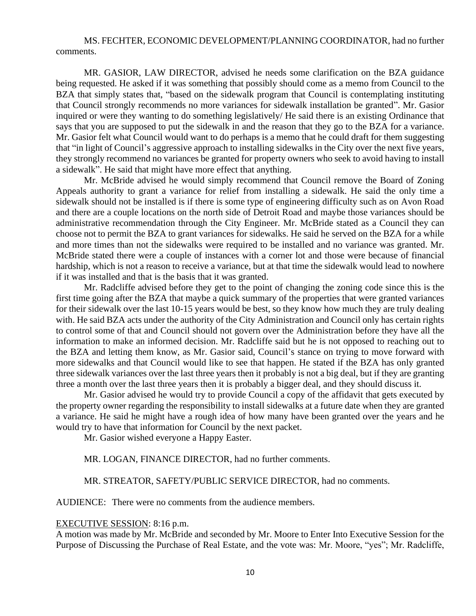MS. FECHTER, ECONOMIC DEVELOPMENT/PLANNING COORDINATOR, had no further comments.

MR. GASIOR, LAW DIRECTOR, advised he needs some clarification on the BZA guidance being requested. He asked if it was something that possibly should come as a memo from Council to the BZA that simply states that, "based on the sidewalk program that Council is contemplating instituting that Council strongly recommends no more variances for sidewalk installation be granted". Mr. Gasior inquired or were they wanting to do something legislatively/ He said there is an existing Ordinance that says that you are supposed to put the sidewalk in and the reason that they go to the BZA for a variance. Mr. Gasior felt what Council would want to do perhaps is a memo that he could draft for them suggesting that "in light of Council's aggressive approach to installing sidewalks in the City over the next five years, they strongly recommend no variances be granted for property owners who seek to avoid having to install a sidewalk". He said that might have more effect that anything.

Mr. McBride advised he would simply recommend that Council remove the Board of Zoning Appeals authority to grant a variance for relief from installing a sidewalk. He said the only time a sidewalk should not be installed is if there is some type of engineering difficulty such as on Avon Road and there are a couple locations on the north side of Detroit Road and maybe those variances should be administrative recommendation through the City Engineer. Mr. McBride stated as a Council they can choose not to permit the BZA to grant variances for sidewalks. He said he served on the BZA for a while and more times than not the sidewalks were required to be installed and no variance was granted. Mr. McBride stated there were a couple of instances with a corner lot and those were because of financial hardship, which is not a reason to receive a variance, but at that time the sidewalk would lead to nowhere if it was installed and that is the basis that it was granted.

Mr. Radcliffe advised before they get to the point of changing the zoning code since this is the first time going after the BZA that maybe a quick summary of the properties that were granted variances for their sidewalk over the last 10-15 years would be best, so they know how much they are truly dealing with. He said BZA acts under the authority of the City Administration and Council only has certain rights to control some of that and Council should not govern over the Administration before they have all the information to make an informed decision. Mr. Radcliffe said but he is not opposed to reaching out to the BZA and letting them know, as Mr. Gasior said, Council's stance on trying to move forward with more sidewalks and that Council would like to see that happen. He stated if the BZA has only granted three sidewalk variances over the last three years then it probably is not a big deal, but if they are granting three a month over the last three years then it is probably a bigger deal, and they should discuss it.

Mr. Gasior advised he would try to provide Council a copy of the affidavit that gets executed by the property owner regarding the responsibility to install sidewalks at a future date when they are granted a variance. He said he might have a rough idea of how many have been granted over the years and he would try to have that information for Council by the next packet.

Mr. Gasior wished everyone a Happy Easter.

MR. LOGAN, FINANCE DIRECTOR, had no further comments.

MR. STREATOR, SAFETY/PUBLIC SERVICE DIRECTOR, had no comments.

AUDIENCE: There were no comments from the audience members.

#### EXECUTIVE SESSION: 8:16 p.m.

A motion was made by Mr. McBride and seconded by Mr. Moore to Enter Into Executive Session for the Purpose of Discussing the Purchase of Real Estate, and the vote was: Mr. Moore, "yes"; Mr. Radcliffe,